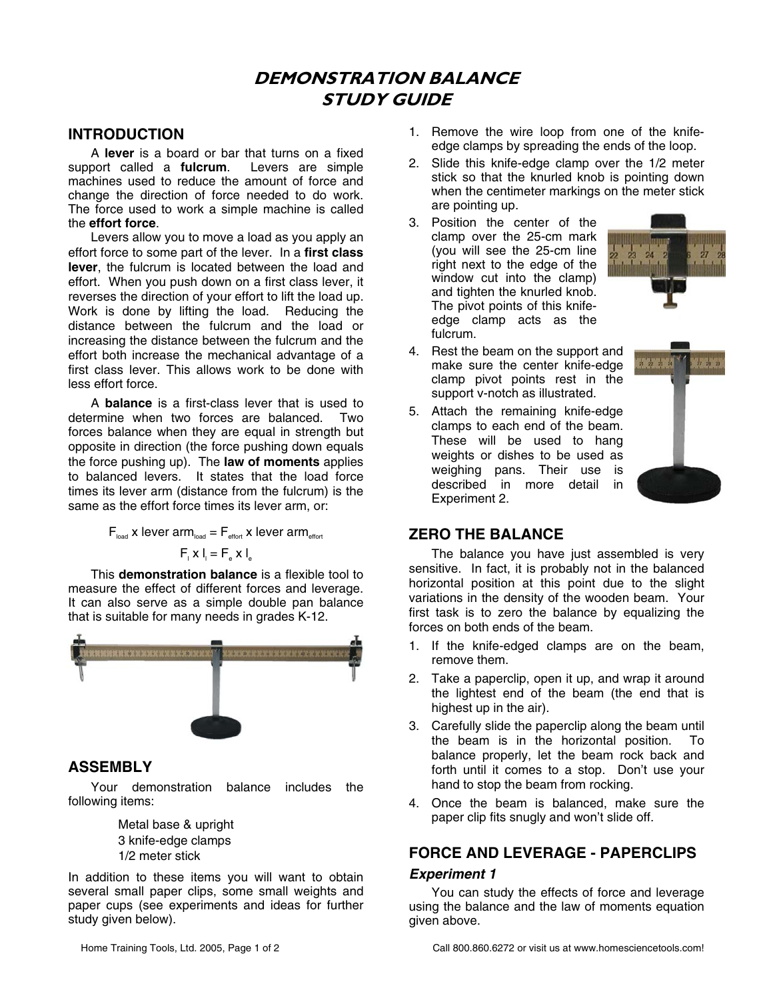# **DEMONSTRATION BALANCE STUDY GUIDE**

### **INTRODUCTION**

A **lever** is a board or bar that turns on a fixed support called a **fulcrum**. Levers are simple machines used to reduce the amount of force and change the direction of force needed to do work. The force used to work a simple machine is called the **effort force**.

Levers allow you to move a load as you apply an effort force to some part of the lever. In a **first class lever**, the fulcrum is located between the load and effort. When you push down on a first class lever, it reverses the direction of your effort to lift the load up. Work is done by lifting the load. Reducing the distance between the fulcrum and the load or increasing the distance between the fulcrum and the effort both increase the mechanical advantage of a first class lever. This allows work to be done with less effort force.

A **balance** is a first-class lever that is used to determine when two forces are balanced. Two forces balance when they are equal in strength but opposite in direction (the force pushing down equals the force pushing up). The **law of moments** applies to balanced levers. It states that the load force times its lever arm (distance from the fulcrum) is the same as the effort force times its lever arm, or:

$$
F_{\text{load}} \times \text{lever arm}_{\text{load}} = F_{\text{effot}} \times \text{lever arm}_{\text{effot}}
$$

$$
F_{\text{max}} I_{\text{i}} = F_{\text{e}} \times I_{\text{e}}
$$

This **demonstration balance** is a flexible tool to measure the effect of different forces and leverage. It can also serve as a simple double pan balance that is suitable for many needs in grades K-12.



### **ASSEMBLY**

Your demonstration balance includes the following items:

> Metal base & upright 3 knife-edge clamps 1/2 meter stick

In addition to these items you will want to obtain several small paper clips, some small weights and paper cups (see experiments and ideas for further study given below).

- 1. Remove the wire loop from one of the knifeedge clamps by spreading the ends of the loop.
- 2. Slide this knife-edge clamp over the 1/2 meter stick so that the knurled knob is pointing down when the centimeter markings on the meter stick are pointing up.
- 3. Position the center of the clamp over the 25-cm mark (you will see the 25-cm line right next to the edge of the window cut into the clamp) and tighten the knurled knob. The pivot points of this knifeedge clamp acts as the fulcrum.



- 4. Rest the beam on the support and make sure the center knife-edge clamp pivot points rest in the support v-notch as illustrated.
- 5. Attach the remaining knife-edge clamps to each end of the beam. These will be used to hang weights or dishes to be used as weighing pans. Their use is described in more detail in Experiment 2.



## **ZERO THE BALANCE**

The balance you have just assembled is very sensitive. In fact, it is probably not in the balanced horizontal position at this point due to the slight variations in the density of the wooden beam. Your first task is to zero the balance by equalizing the forces on both ends of the beam.

- 1. If the knife-edged clamps are on the beam, remove them.
- 2. Take a paperclip, open it up, and wrap it around the lightest end of the beam (the end that is highest up in the air).
- 3. Carefully slide the paperclip along the beam until the beam is in the horizontal position. To balance properly, let the beam rock back and forth until it comes to a stop. Don't use your hand to stop the beam from rocking.
- 4. Once the beam is balanced, make sure the paper clip fits snugly and won't slide off.

# **FORCE AND LEVERAGE - PAPERCLIPS**  *Experiment 1*

You can study the effects of force and leverage using the balance and the law of moments equation given above.